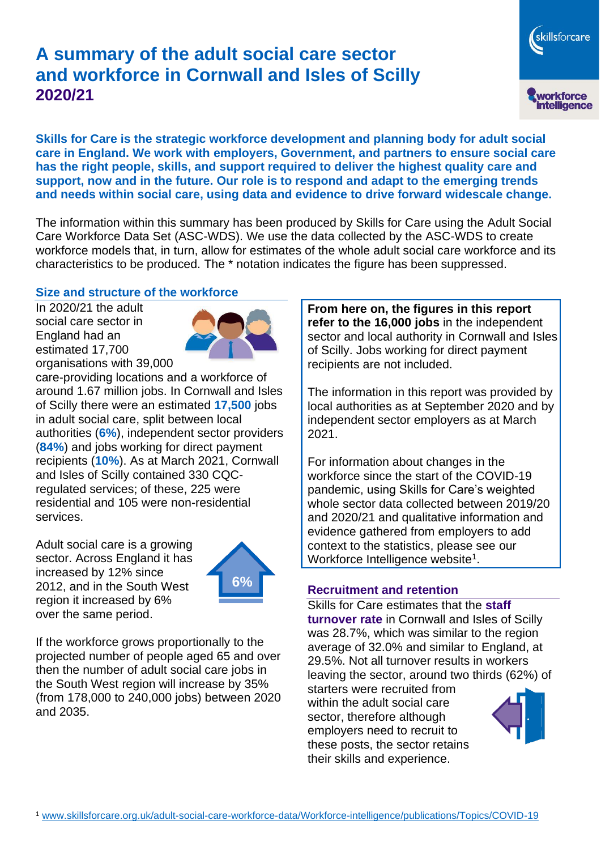# **A summary of the adult social care sector and workforce in Cornwall and Isles of Scilly 2020/21**

**Skills for Care is the strategic workforce development and planning body for adult social care in England. We work with employers, Government, and partners to ensure social care has the right people, skills, and support required to deliver the highest quality care and support, now and in the future. Our role is to respond and adapt to the emerging trends and needs within social care, using data and evidence to drive forward widescale change.**

The information within this summary has been produced by Skills for Care using the Adult Social Care Workforce Data Set (ASC-WDS). We use the data collected by the ASC-WDS to create workforce models that, in turn, allow for estimates of the whole adult social care workforce and its characteristics to be produced. The \* notation indicates the figure has been suppressed.

#### **Size and structure of the workforce**

In 2020/21 the adult social care sector in England had an estimated 17,700 organisations with 39,000



care-providing locations and a workforce of around 1.67 million jobs. In Cornwall and Isles of Scilly there were an estimated **17,500** jobs in adult social care, split between local authorities (**6%**), independent sector providers (**84%**) and jobs working for direct payment recipients (**10%**). As at March 2021, Cornwall and Isles of Scilly contained 330 CQCregulated services; of these, 225 were residential and 105 were non-residential services.

Adult social care is a growing sector. Across England it has increased by 12% since 2012, and in the South West region it increased by 6% over the same period.



If the workforce grows proportionally to the projected number of people aged 65 and over then the number of adult social care jobs in the South West region will increase by 35% (from 178,000 to 240,000 jobs) between 2020 and 2035.

**From here on, the figures in this report refer to the 16,000 jobs** in the independent sector and local authority in Cornwall and Isles of Scilly. Jobs working for direct payment recipients are not included.

The information in this report was provided by local authorities as at September 2020 and by independent sector employers as at March 2021.

For information about changes in the workforce since the start of the COVID-19 pandemic, using Skills for Care's weighted whole sector data collected between 2019/20 and 2020/21 and qualitative information and evidence gathered from employers to add context to the statistics, please see our Workforce Intelligence website<sup>1</sup>.

#### **Recruitment and retention**

Skills for Care estimates that the **staff turnover rate** in Cornwall and Isles of Scilly was 28.7%, which was similar to the region average of 32.0% and similar to England, at 29.5%. Not all turnover results in workers leaving the sector, around two thirds (62%) of

starters were recruited from within the adult social care sector, therefore although employers need to recruit to these posts, the sector retains their skills and experience.



skillsforcare

workforce<br>intelligence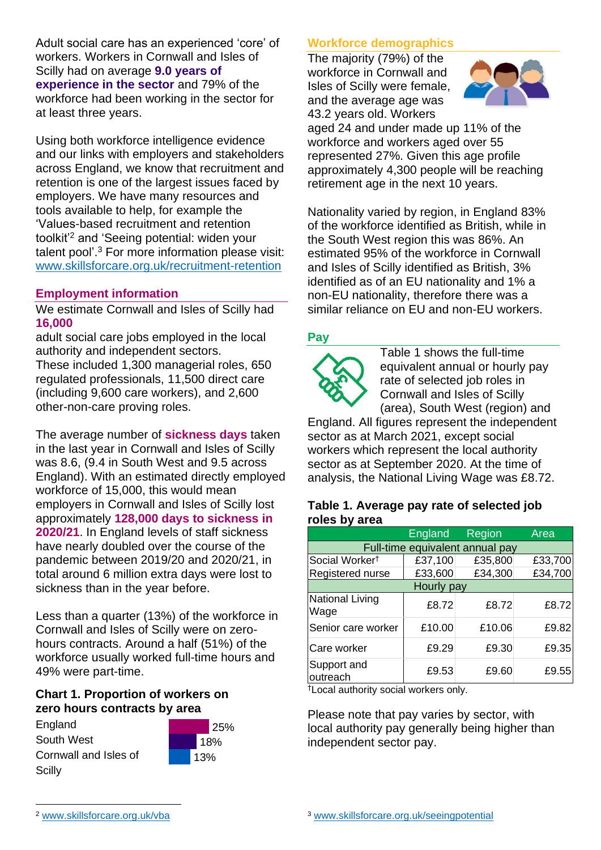Adult social care has an experienced 'core' of workers. Workers in Cornwall and Isles of Scilly had on average **9.0 years of experience in the sector** and 79% of the workforce had been working in the sector for at least three years.

Using both workforce intelligence evidence and our links with employers and stakeholders across England, we know that recruitment and retention is one of the largest issues faced by employers. We have many resources and tools available to help, for example the 'Values-based recruitment and retention toolkit'<sup>2</sup> and 'Seeing potential: widen your talent pool'. <sup>3</sup> For more information please visit: [www.skillsforcare.org.uk/recruitment-retention](http://www.skillsforcare.org.uk/recruitment-retention)

### **Employment information**

We estimate Cornwall and Isles of Scilly had **16,000**

adult social care jobs employed in the local authority and independent sectors. These included 1,300 managerial roles, 650 regulated professionals, 11,500 direct care (including 9,600 care workers), and 2,600 other-non-care proving roles.

The average number of **sickness days** taken in the last year in Cornwall and Isles of Scilly was 8.6, (9.4 in South West and 9.5 across England). With an estimated directly employed workforce of 15,000, this would mean employers in Cornwall and Isles of Scilly lost approximately **128,000 days to sickness in 2020/21**. In England levels of staff sickness have nearly doubled over the course of the pandemic between 2019/20 and 2020/21, in total around 6 million extra days were lost to sickness than in the year before.

Less than a quarter (13%) of the workforce in Cornwall and Isles of Scilly were on zerohours contracts. Around a half (51%) of the workforce usually worked full-time hours and 49% were part-time.

#### **Chart 1. Proportion of workers on zero hours contracts by area**

England South West Cornwall and Isles of **Scilly** 



### **Workforce demographics**

The majority (79%) of the workforce in Cornwall and Isles of Scilly were female, and the average age was 43.2 years old. Workers



aged 24 and under made up 11% of the workforce and workers aged over 55 represented 27%. Given this age profile approximately 4,300 people will be reaching retirement age in the next 10 years.

Nationality varied by region, in England 83% of the workforce identified as British, while in the South West region this was 86%. An estimated 95% of the workforce in Cornwall and Isles of Scilly identified as British, 3% identified as of an EU nationality and 1% a non-EU nationality, therefore there was a similar reliance on EU and non-EU workers.

#### **Pay**



Table 1 shows the full-time equivalent annual or hourly pay rate of selected job roles in Cornwall and Isles of Scilly (area), South West (region) and

England. All figures represent the independent sector as at March 2021, except social workers which represent the local authority sector as at September 2020. At the time of analysis, the National Living Wage was £8.72.

#### **Table 1. Average pay rate of selected job roles by area**

|                                 | <b>England</b> | Region  | Area    |
|---------------------------------|----------------|---------|---------|
| Full-time equivalent annual pay |                |         |         |
| Social Worker <sup>t</sup>      | £37,100        | £35,800 | £33,700 |
| Registered nurse                | £33,600        | £34,300 | £34,700 |
| Hourly pay                      |                |         |         |
| National Living<br>Wage         | £8.72          | £8.72   | £8.72   |
| Senior care worker              | £10.00         | £10.06  | £9.82   |
| Care worker                     | £9.29          | £9.30   | £9.35   |
| Support and<br>outreach         | £9.53          | £9.60   | £9.55   |

†Local authority social workers only.

Please note that pay varies by sector, with local authority pay generally being higher than independent sector pay.

<sup>2</sup> [www.skillsforcare.org.uk/vba](http://www.skillsforcare.org.uk/vba)